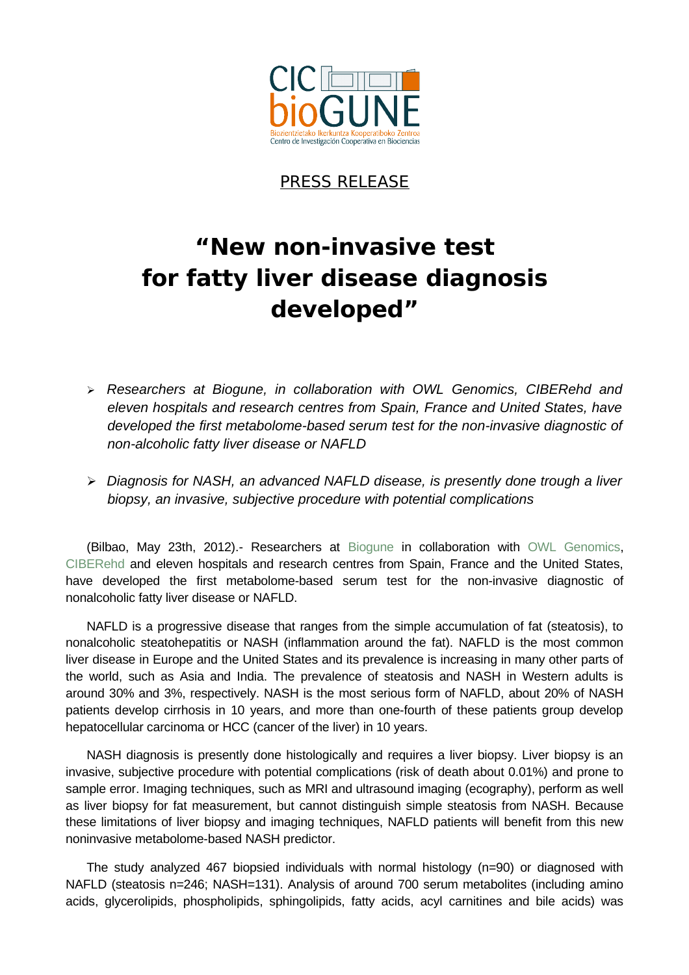

## PRESS RELEASE

# **"New non-invasive test for fatty liver disease diagnosis developed"**

- *Researchers at Biogune, in collaboration with OWL Genomics, CIBERehd and eleven hospitals and research centres from Spain, France and United States, have developed the first metabolome-based serum test for the non-invasive diagnostic of non-alcoholic fatty liver disease or NAFLD*
- *Diagnosis for NASH, an advanced NAFLD disease, is presently done trough a liver biopsy, an invasive, subjective procedure with potential complications*

(Bilbao, May 23th, 2012).- Researchers at [Biogune](http://www.cicbiogune.es/) in collaboration with [OWL Genomics,](http://www.owlmetabolomics.com/) [CIBERehd](http://www.ciberehd.org/) and eleven hospitals and research centres from Spain, France and the United States, have developed the first metabolome-based serum test for the non-invasive diagnostic of nonalcoholic fatty liver disease or NAFLD.

NAFLD is a progressive disease that ranges from the simple accumulation of fat (steatosis), to nonalcoholic steatohepatitis or NASH (inflammation around the fat). NAFLD is the most common liver disease in Europe and the United States and its prevalence is increasing in many other parts of the world, such as Asia and India. The prevalence of steatosis and NASH in Western adults is around 30% and 3%, respectively. NASH is the most serious form of NAFLD, about 20% of NASH patients develop cirrhosis in 10 years, and more than one-fourth of these patients group develop hepatocellular carcinoma or HCC (cancer of the liver) in 10 years.

NASH diagnosis is presently done histologically and requires a liver biopsy. Liver biopsy is an invasive, subjective procedure with potential complications (risk of death about 0.01%) and prone to sample error. Imaging techniques, such as MRI and ultrasound imaging (ecography), perform as well as liver biopsy for fat measurement, but cannot distinguish simple steatosis from NASH. Because these limitations of liver biopsy and imaging techniques, NAFLD patients will benefit from this new noninvasive metabolome-based NASH predictor.

The study analyzed 467 biopsied individuals with normal histology (n=90) or diagnosed with NAFLD (steatosis n=246; NASH=131). Analysis of around 700 serum metabolites (including amino acids, glycerolipids, phospholipids, sphingolipids, fatty acids, acyl carnitines and bile acids) was